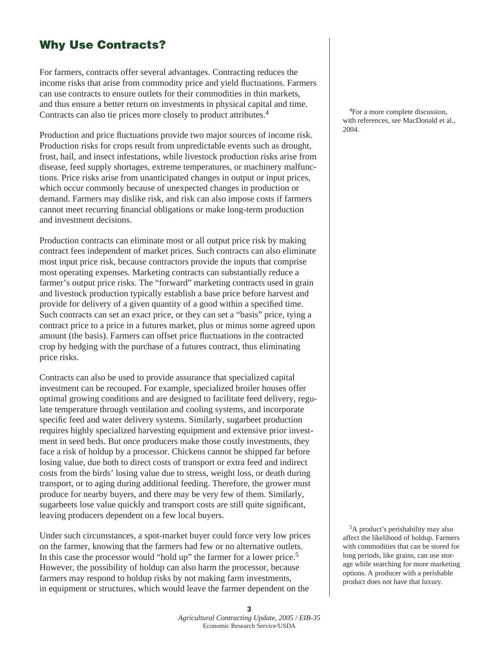## **Why Use Contracts?**

For farmers, contracts offer several advantages. Contracting reduces the income risks that arise from commodity price and yield fluctuations. Farmers can use contracts to ensure outlets for their commodities in thin markets, and thus ensure a better return on investments in physical capital and time. Contracts can also tie prices more closely to product attributes.4

Production and price fluctuations provide two major sources of income risk. Production risks for crops result from unpredictable events such as drought, frost, hail, and insect infestations, while livestock production risks arise from disease, feed supply shortages, extreme temperatures, or machinery malfunctions. Price risks arise from unanticipated changes in output or input prices, which occur commonly because of unexpected changes in production or demand. Farmers may dislike risk, and risk can also impose costs if farmers cannot meet recurring financial obligations or make long-term production and investment decisions.

Production contracts can eliminate most or all output price risk by making contract fees independent of market prices. Such contracts can also eliminate most input price risk, because contractors provide the inputs that comprise most operating expenses. Marketing contracts can substantially reduce a farmer's output price risks. The "forward" marketing contracts used in grain and livestock production typically establish a base price before harvest and provide for delivery of a given quantity of a good within a specified time. Such contracts can set an exact price, or they can set a "basis" price, tying a contract price to a price in a futures market, plus or minus some agreed upon amount (the basis). Farmers can offset price fluctuations in the contracted crop by hedging with the purchase of a futures contract, thus eliminating price risks.

Contracts can also be used to provide assurance that specialized capital investment can be recouped. For example, specialized broiler houses offer optimal growing conditions and are designed to facilitate feed delivery, regulate temperature through ventilation and cooling systems, and incorporate specific feed and water delivery systems. Similarly, sugarbeet production requires highly specialized harvesting equipment and extensive prior investment in seed beds. But once producers make those costly investments, they face a risk of holdup by a processor. Chickens cannot be shipped far before losing value, due both to direct costs of transport or extra feed and indirect costs from the birds' losing value due to stress, weight loss, or death during transport, or to aging during additional feeding. Therefore, the grower must produce for nearby buyers, and there may be very few of them. Similarly, sugarbeets lose value quickly and transport costs are still quite significant, leaving producers dependent on a few local buyers.

Under such circumstances, a spot-market buyer could force very low prices on the farmer, knowing that the farmers had few or no alternative outlets. In this case the processor would "hold up" the farmer for a lower price.<sup>5</sup> However, the possibility of holdup can also harm the processor, because farmers may respond to holdup risks by not making farm investments, in equipment or structures, which would leave the farmer dependent on the

 4For a more complete discussion, with references, see MacDonald et al., 2004.

 5A product's perishability may also affect the likelihood of holdup. Farmers with commodities that can be stored for long periods, like grains, can use storage while searching for more marketing options. A producer with a perishable product does not have that luxury.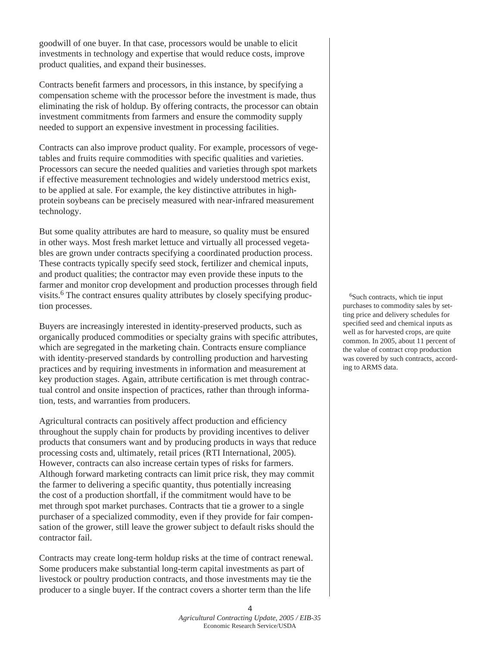goodwill of one buyer. In that case, processors would be unable to elicit investments in technology and expertise that would reduce costs, improve product qualities, and expand their businesses.

Contracts benefit farmers and processors, in this instance, by specifying a compensation scheme with the processor before the investment is made, thus eliminating the risk of holdup. By offering contracts, the processor can obtain investment commitments from farmers and ensure the commodity supply needed to support an expensive investment in processing facilities.

Contracts can also improve product quality. For example, processors of vegetables and fruits require commodities with specific qualities and varieties. Processors can secure the needed qualities and varieties through spot markets if effective measurement technologies and widely understood metrics exist, to be applied at sale. For example, the key distinctive attributes in highprotein soybeans can be precisely measured with near-infrared measurement technology.

But some quality attributes are hard to measure, so quality must be ensured in other ways. Most fresh market lettuce and virtually all processed vegetables are grown under contracts specifying a coordinated production process. These contracts typically specify seed stock, fertilizer and chemical inputs, and product qualities; the contractor may even provide these inputs to the farmer and monitor crop development and production processes through field visits.<sup>6</sup> The contract ensures quality attributes by closely specifying production processes.

Buyers are increasingly interested in identity-preserved products, such as organically produced commodities or specialty grains with specific attributes, which are segregated in the marketing chain. Contracts ensure compliance with identity-preserved standards by controlling production and harvesting practices and by requiring investments in information and measurement at key production stages. Again, attribute certification is met through contractual control and onsite inspection of practices, rather than through information, tests, and warranties from producers.

Agricultural contracts can positively affect production and efficiency throughout the supply chain for products by providing incentives to deliver products that consumers want and by producing products in ways that reduce processing costs and, ultimately, retail prices (RTI International, 2005). However, contracts can also increase certain types of risks for farmers. Although forward marketing contracts can limit price risk, they may commit the farmer to delivering a specific quantity, thus potentially increasing the cost of a production shortfall, if the commitment would have to be met through spot market purchases. Contracts that tie a grower to a single purchaser of a specialized commodity, even if they provide for fair compensation of the grower, still leave the grower subject to default risks should the contractor fail.

Contracts may create long-term holdup risks at the time of contract renewal. Some producers make substantial long-term capital investments as part of livestock or poultry production contracts, and those investments may tie the producer to a single buyer. If the contract covers a shorter term than the life

6Such contracts, which tie input purchases to commodity sales by setting price and delivery schedules for specified seed and chemical inputs as well as for harvested crops, are quite common. In 2005, about 11 percent of the value of contract crop production was covered by such contracts, according to ARMS data.